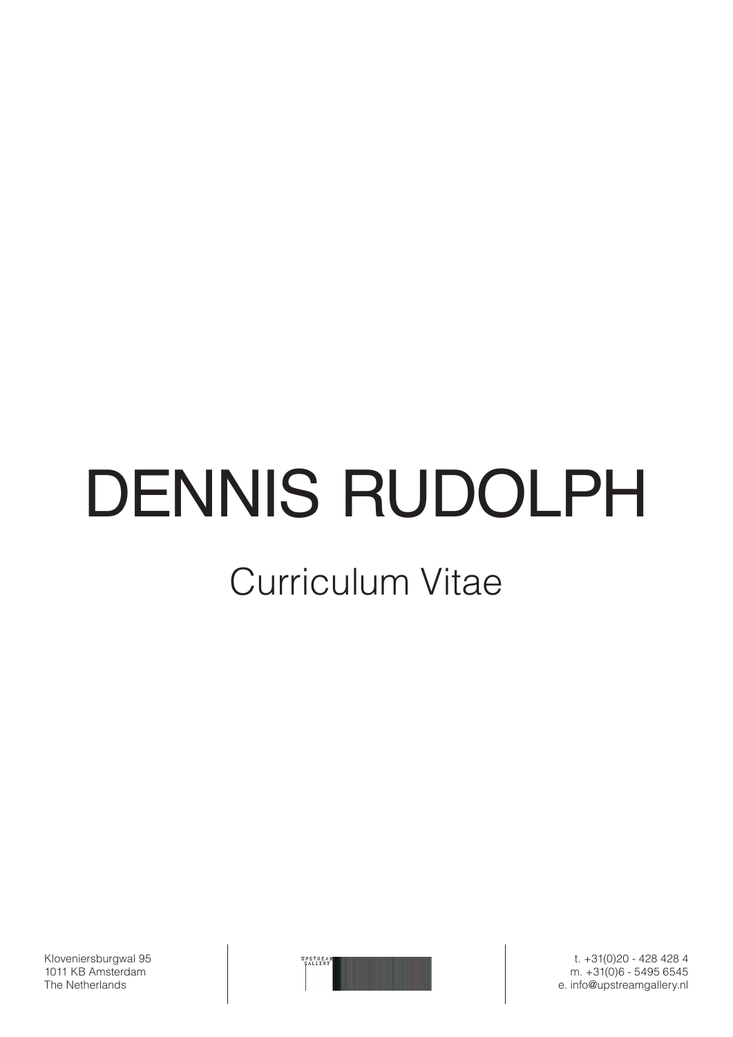# DENNIS RUDOLPH

## Curriculum Vitae

Kloveniersburgwal 95 1011 KB Amsterdam The Netherlands



t. +31(0)20 - 428 428 4 m. +31(0)6 - 5495 6545 e. info@upstreamgallery.nl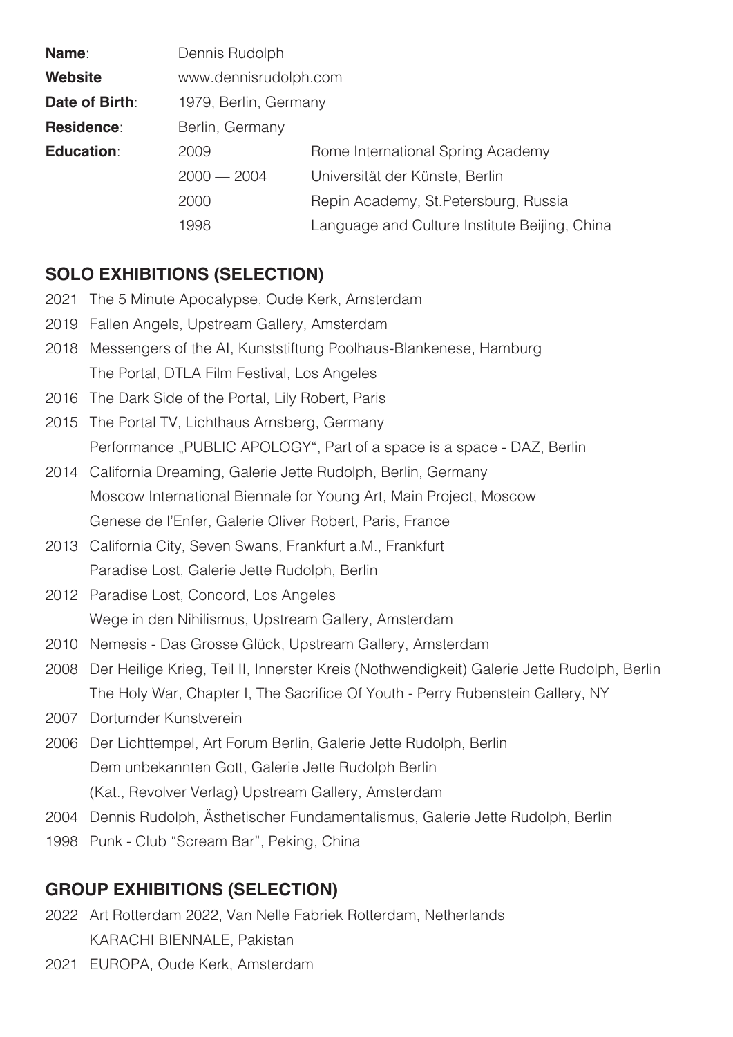| Name:             | Dennis Rudolph        |                                               |
|-------------------|-----------------------|-----------------------------------------------|
| <b>Website</b>    | www.dennisrudolph.com |                                               |
| Date of Birth:    | 1979, Berlin, Germany |                                               |
| <b>Residence:</b> | Berlin, Germany       |                                               |
| <b>Education:</b> | 2009                  | Rome International Spring Academy             |
|                   | $2000 - 2004$         | Universität der Künste, Berlin                |
|                   | 2000                  | Repin Academy, St. Petersburg, Russia         |
|                   | 1998                  | Language and Culture Institute Beijing, China |

#### **SOLO EXHIBITIONS (SELECTION)**

- 2021 The 5 Minute Apocalypse, Oude Kerk, Amsterdam
- 2019 Fallen Angels, Upstream Gallery, Amsterdam
- 2018 Messengers of the AI, Kunststiftung Poolhaus-Blankenese, Hamburg The Portal, DTLA Film Festival, Los Angeles
- 2016 The Dark Side of the Portal, Lily Robert, Paris
- 2015 The Portal TV, Lichthaus Arnsberg, Germany Performance "PUBLIC APOLOGY", Part of a space is a space - DAZ, Berlin
- 2014 California Dreaming, Galerie Jette Rudolph, Berlin, Germany Moscow International Biennale for Young Art, Main Project, Moscow Genese de l'Enfer, Galerie Oliver Robert, Paris, France
- 2013 California City, Seven Swans, Frankfurt a.M., Frankfurt Paradise Lost, Galerie Jette Rudolph, Berlin
- 2012 Paradise Lost, Concord, Los Angeles Wege in den Nihilismus, Upstream Gallery, Amsterdam
- 2010 Nemesis Das Grosse Glück, Upstream Gallery, Amsterdam
- 2008 Der Heilige Krieg, Teil II, Innerster Kreis (Nothwendigkeit) Galerie Jette Rudolph, Berlin The Holy War, Chapter I, The Sacrifice Of Youth - Perry Rubenstein Gallery, NY
- 2007 Dortumder Kunstverein
- 2006 Der Lichttempel, Art Forum Berlin, Galerie Jette Rudolph, Berlin Dem unbekannten Gott, Galerie Jette Rudolph Berlin (Kat., Revolver Verlag) Upstream Gallery, Amsterdam
- 2004 Dennis Rudolph, Ästhetischer Fundamentalismus, Galerie Jette Rudolph, Berlin
- 1998 Punk Club "Scream Bar", Peking, China

#### **GROUP EXHIBITIONS (SELECTION)**

- 2022 Art Rotterdam 2022, Van Nelle Fabriek Rotterdam, Netherlands KARACHI BIENNALE, Pakistan
- 2021 EUROPA, Oude Kerk, Amsterdam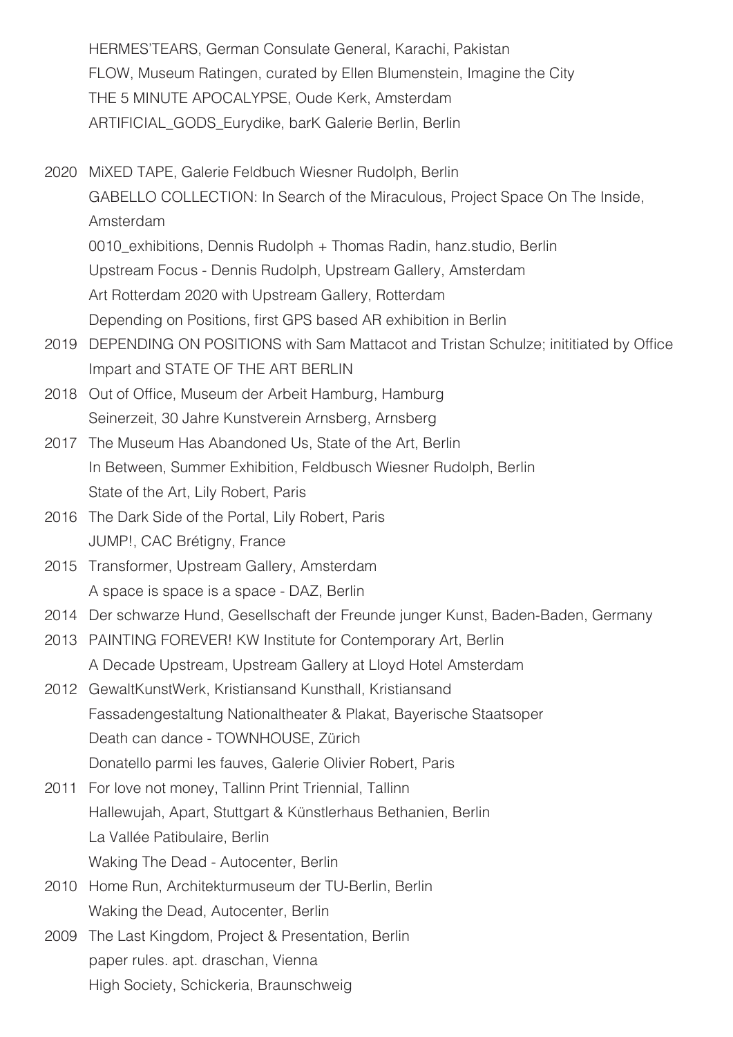HERMES'TEARS, German Consulate General, Karachi, Pakistan FLOW, Museum Ratingen, curated by Ellen Blumenstein, Imagine the City THE 5 MINUTE APOCALYPSE, Oude Kerk, Amsterdam ARTIFICIAL\_GODS\_Eurydike, barK Galerie Berlin, Berlin

- 2020 MiXED TAPE, Galerie Feldbuch Wiesner Rudolph, Berlin GABELLO COLLECTION: In Search of the Miraculous, Project Space On The Inside, Amsterdam 0010\_exhibitions, Dennis Rudolph + Thomas Radin, hanz.studio, Berlin Upstream Focus - Dennis Rudolph, Upstream Gallery, Amsterdam Art Rotterdam 2020 with Upstream Gallery, Rotterdam Depending on Positions, first GPS based AR exhibition in Berlin
- 2019 DEPENDING ON POSITIONS with Sam Mattacot and Tristan Schulze; inititiated by Office Impart and STATE OF THE ART BERLIN
- 2018 Out of Office, Museum der Arbeit Hamburg, Hamburg Seinerzeit, 30 Jahre Kunstverein Arnsberg, Arnsberg
- 2017 The Museum Has Abandoned Us, State of the Art, Berlin In Between, Summer Exhibition, Feldbusch Wiesner Rudolph, Berlin State of the Art, Lily Robert, Paris
- 2016 The Dark Side of the Portal, Lily Robert, Paris JUMP!, CAC Brétigny, France
- 2015 Transformer, Upstream Gallery, Amsterdam A space is space is a space - DAZ, Berlin
- 2014 Der schwarze Hund, Gesellschaft der Freunde junger Kunst, Baden-Baden, Germany
- 2013 PAINTING FOREVER! KW Institute for Contemporary Art, Berlin A Decade Upstream, Upstream Gallery at Lloyd Hotel Amsterdam
- 2012 GewaltKunstWerk, Kristiansand Kunsthall, Kristiansand Fassadengestaltung Nationaltheater & Plakat, Bayerische Staatsoper Death can dance - TOWNHOUSE, Zürich Donatello parmi les fauves, Galerie Olivier Robert, Paris
- 2011 For love not money, Tallinn Print Triennial, Tallinn Hallewujah, Apart, Stuttgart & Künstlerhaus Bethanien, Berlin La Vallée Patibulaire, Berlin Waking The Dead - Autocenter, Berlin
- 2010 Home Run, Architekturmuseum der TU-Berlin, Berlin Waking the Dead, Autocenter, Berlin
- 2009 The Last Kingdom, Project & Presentation, Berlin paper rules. apt. draschan, Vienna High Society, Schickeria, Braunschweig